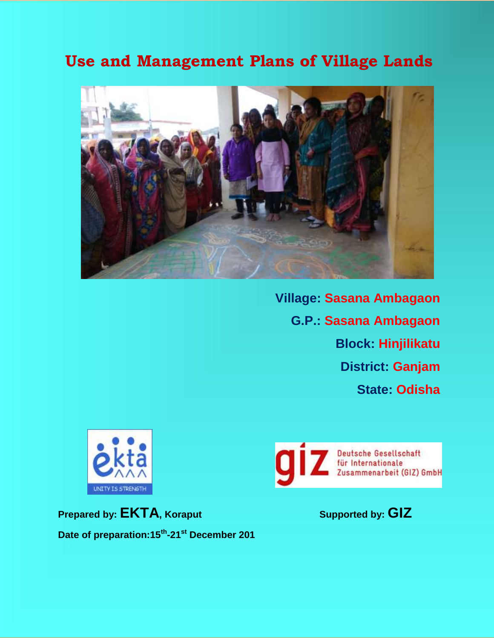# **Use and Management Plans of Village Lands**



**Village: Sasana Ambagaon G.P.: Sasana Ambagaon Block: Hinjilikatu District: Ganjam State: Odisha**



**Prepared by: EKTA, Koraput Supported by: GIZ Date of preparation:15th -21st December 201**

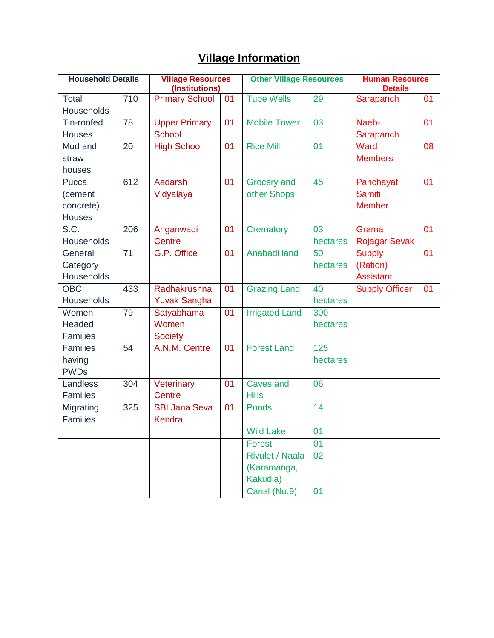## **Village Information**

| <b>Household Details</b> |     | <b>Village Resources</b><br>(Institutions) |    | <b>Other Village Resources</b> |          | <b>Human Resource</b><br><b>Details</b> |    |
|--------------------------|-----|--------------------------------------------|----|--------------------------------|----------|-----------------------------------------|----|
| Total                    | 710 | <b>Primary School</b>                      | 01 | <b>Tube Wells</b>              | 29       | Sarapanch                               | 01 |
| Households               |     |                                            |    |                                |          |                                         |    |
| Tin-roofed               | 78  | <b>Upper Primary</b>                       | 01 | <b>Mobile Tower</b>            | 03       | Naeb-                                   | 01 |
| Houses                   |     | <b>School</b>                              |    |                                |          | Sarapanch                               |    |
| Mud and                  | 20  | <b>High School</b>                         | 01 | <b>Rice Mill</b>               | 01       | Ward                                    | 08 |
| straw                    |     |                                            |    |                                |          | <b>Members</b>                          |    |
| houses                   |     |                                            |    |                                |          |                                         |    |
| Pucca                    | 612 | Aadarsh                                    | 01 | <b>Grocery</b> and             | 45       | Panchayat                               | 01 |
| (cement                  |     | Vidyalaya                                  |    | other Shops                    |          | <b>Samiti</b>                           |    |
| concrete)                |     |                                            |    |                                |          | <b>Member</b>                           |    |
| <b>Houses</b>            |     |                                            |    |                                |          |                                         |    |
| S.C.                     | 206 | Anganwadi                                  | 01 | Crematory                      | 03       | Grama                                   | 01 |
| Households               |     | <b>Centre</b>                              |    |                                | hectares | <b>Rojagar Sevak</b>                    |    |
| General                  | 71  | G.P. Office                                | 01 | Anabadi land                   | 50       | <b>Supply</b>                           | 01 |
| Category                 |     |                                            |    |                                | hectares | (Ration)                                |    |
| <b>Households</b>        |     |                                            |    |                                |          | <b>Assistant</b>                        |    |
| <b>OBC</b>               | 433 | Radhakrushna                               | 01 | <b>Grazing Land</b>            | 40       | <b>Supply Officer</b>                   | 01 |
| Households               |     | <b>Yuvak Sangha</b>                        |    |                                | hectares |                                         |    |
| Women                    | 79  | Satyabhama                                 | 01 | <b>Irrigated Land</b>          | 300      |                                         |    |
| Headed                   |     | Women                                      |    |                                | hectares |                                         |    |
| <b>Families</b>          |     | <b>Society</b>                             |    |                                |          |                                         |    |
| <b>Families</b>          | 54  | A.N.M. Centre                              | 01 | <b>Forest Land</b>             | 125      |                                         |    |
| having                   |     |                                            |    |                                | hectares |                                         |    |
| <b>PWDs</b>              |     |                                            |    |                                |          |                                         |    |
| Landless                 | 304 | Veterinary                                 | 01 | <b>Caves and</b>               | 06       |                                         |    |
| <b>Families</b>          |     | Centre                                     |    | <b>Hills</b>                   |          |                                         |    |
| Migrating                | 325 | <b>SBI Jana Seva</b>                       | 01 | <b>Ponds</b>                   | 14       |                                         |    |
| <b>Families</b>          |     | Kendra                                     |    |                                |          |                                         |    |
|                          |     |                                            |    | <b>Wild Lake</b>               | 01       |                                         |    |
|                          |     |                                            |    | Forest                         | 01       |                                         |    |
|                          |     |                                            |    | <b>Rivulet / Naala</b>         | 02       |                                         |    |
|                          |     |                                            |    | (Karamanga,                    |          |                                         |    |
|                          |     |                                            |    | Kakudia)                       |          |                                         |    |
|                          |     |                                            |    | Canal (No.9)                   | 01       |                                         |    |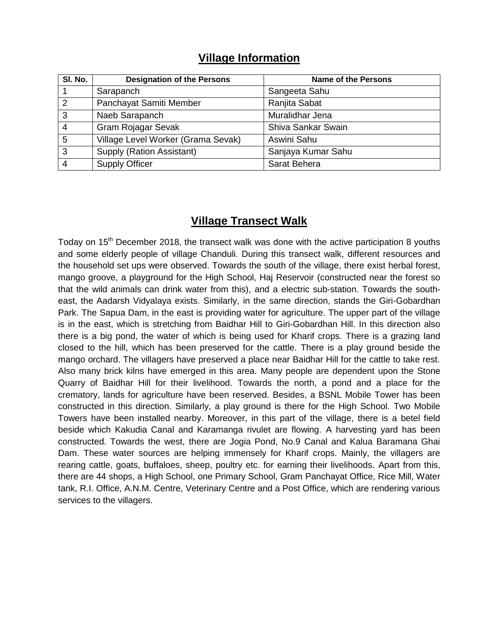| SI. No.        | <b>Designation of the Persons</b>  | <b>Name of the Persons</b> |
|----------------|------------------------------------|----------------------------|
|                | Sarapanch                          | Sangeeta Sahu              |
| 2              | Panchayat Samiti Member            | Ranjita Sabat              |
| 3              | Naeb Sarapanch                     | Muralidhar Jena            |
| $\overline{4}$ | <b>Gram Rojagar Sevak</b>          | Shiva Sankar Swain         |
| $\overline{5}$ | Village Level Worker (Grama Sevak) | Aswini Sahu                |
| 3              | Supply (Ration Assistant)          | Sanjaya Kumar Sahu         |
| $\overline{4}$ | <b>Supply Officer</b>              | Sarat Behera               |

#### **Village Information**

### **Village Transect Walk**

Todav on 15<sup>th</sup> December 2018, the transect walk was done with the active participation 8 youths and some elderly people of village Chanduli. During this transect walk, different resources and the household set ups were observed. Towards the south of the village, there exist herbal forest, mango groove, a playground for the High School, Haj Reservoir (constructed near the forest so that the wild animals can drink water from this), and a electric sub-station. Towards the southeast, the Aadarsh Vidyalaya exists. Similarly, in the same direction, stands the Giri-Gobardhan Park. The Sapua Dam, in the east is providing water for agriculture. The upper part of the village is in the east, which is stretching from Baidhar Hill to Giri-Gobardhan Hill. In this direction also there is a big pond, the water of which is being used for Kharif crops. There is a grazing land closed to the hill, which has been preserved for the cattle. There is a play ground beside the mango orchard. The villagers have preserved a place near Baidhar Hill for the cattle to take rest. Also many brick kilns have emerged in this area. Many people are dependent upon the Stone Quarry of Baidhar Hill for their livelihood. Towards the north, a pond and a place for the crematory, lands for agriculture have been reserved. Besides, a BSNL Mobile Tower has been constructed in this direction. Similarly, a play ground is there for the High School. Two Mobile Towers have been installed nearby. Moreover, in this part of the village, there is a betel field beside which Kakudia Canal and Karamanga rivulet are flowing. A harvesting yard has been constructed. Towards the west, there are Jogia Pond, No.9 Canal and Kalua Baramana Ghai Dam. These water sources are helping immensely for Kharif crops. Mainly, the villagers are rearing cattle, goats, buffaloes, sheep, poultry etc. for earning their livelihoods. Apart from this, there are 44 shops, a High School, one Primary School, Gram Panchayat Office, Rice Mill, Water tank, R.I. Office, A.N.M. Centre, Veterinary Centre and a Post Office, which are rendering various services to the villagers.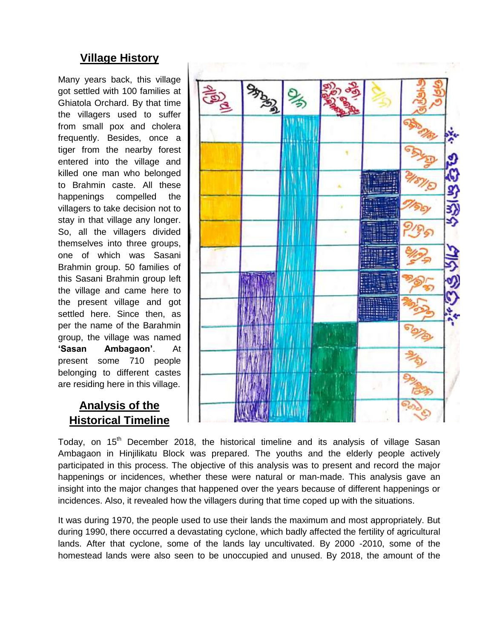#### **Village History**

Many years back, this village got settled with 100 families at Ghiatola Orchard. By that time the villagers used to suffer from small pox and cholera frequently. Besides, once a tiger from the nearby forest entered into the village and killed one man who belonged to Brahmin caste. All these happenings compelled the villagers to take decision not to stay in that village any longer. So, all the villagers divided themselves into three groups, one of which was Sasani Brahmin group. 50 families of this Sasani Brahmin group left the village and came here to the present village and got settled here. Since then, as per the name of the Barahmin group, the village was named **'Sasan Ambagaon'**. At present some 710 people belonging to different castes are residing here in this village.

### **Analysis of the Historical Timeline**



Today, on 15<sup>th</sup> December 2018, the historical timeline and its analysis of village Sasan Ambagaon in Hinjilikatu Block was prepared. The youths and the elderly people actively participated in this process. The objective of this analysis was to present and record the major happenings or incidences, whether these were natural or man-made. This analysis gave an insight into the major changes that happened over the years because of different happenings or incidences. Also, it revealed how the villagers during that time coped up with the situations.

It was during 1970, the people used to use their lands the maximum and most appropriately. But during 1990, there occurred a devastating cyclone, which badly affected the fertility of agricultural lands. After that cyclone, some of the lands lay uncultivated. By 2000 -2010, some of the homestead lands were also seen to be unoccupied and unused. By 2018, the amount of the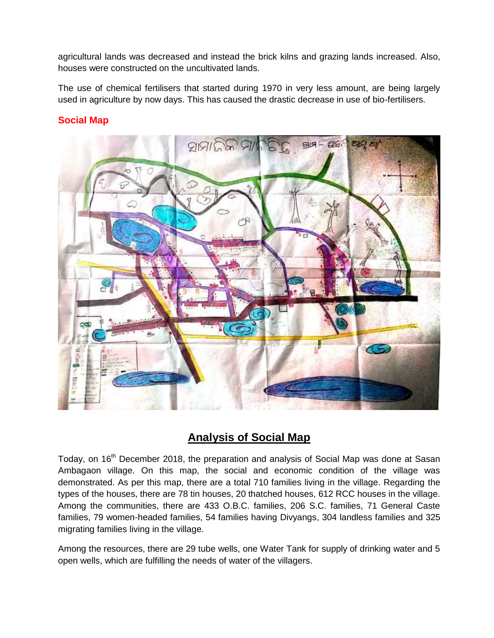agricultural lands was decreased and instead the brick kilns and grazing lands increased. Also, houses were constructed on the uncultivated lands.

The use of chemical fertilisers that started during 1970 in very less amount, are being largely used in agriculture by now days. This has caused the drastic decrease in use of bio-fertilisers.

#### **Social Map**



### **Analysis of Social Map**

Today, on 16<sup>th</sup> December 2018, the preparation and analysis of Social Map was done at Sasan Ambagaon village. On this map, the social and economic condition of the village was demonstrated. As per this map, there are a total 710 families living in the village. Regarding the types of the houses, there are 78 tin houses, 20 thatched houses, 612 RCC houses in the village. Among the communities, there are 433 O.B.C. families, 206 S.C. families, 71 General Caste families, 79 women-headed families, 54 families having Divyangs, 304 landless families and 325 migrating families living in the village.

Among the resources, there are 29 tube wells, one Water Tank for supply of drinking water and 5 open wells, which are fulfilling the needs of water of the villagers.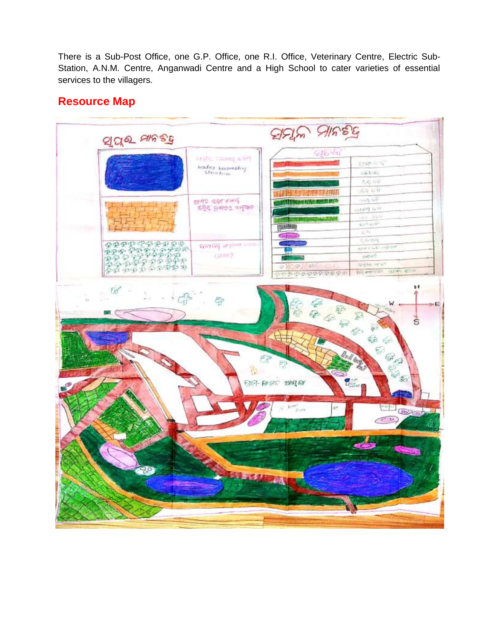There is a Sub-Post Office, one G.P. Office, one R.I. Office, Veterinary Centre, Electric Sub-Station, A.N.M. Centre, Anganwadi Centre and a High School to cater varieties of essential services to the villagers.

# **Resource Map**

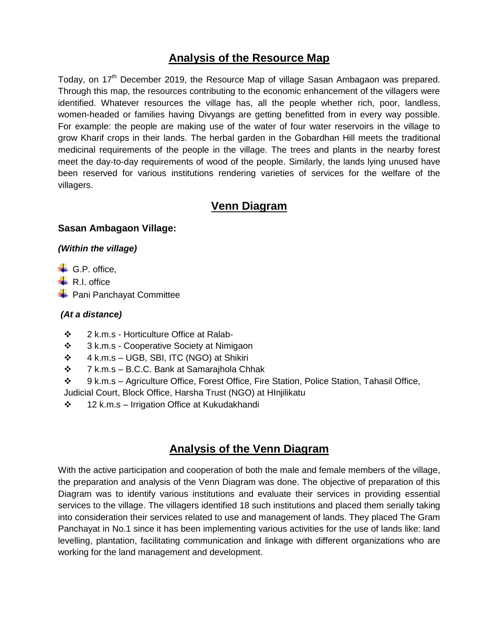#### **Analysis of the Resource Map**

Today, on 17<sup>th</sup> December 2019, the Resource Map of village Sasan Ambagaon was prepared. Through this map, the resources contributing to the economic enhancement of the villagers were identified. Whatever resources the village has, all the people whether rich, poor, landless, women-headed or families having Divyangs are getting benefitted from in every way possible. For example: the people are making use of the water of four water reservoirs in the village to grow Kharif crops in their lands. The herbal garden in the Gobardhan Hill meets the traditional medicinal requirements of the people in the village. The trees and plants in the nearby forest meet the day-to-day requirements of wood of the people. Similarly, the lands lying unused have been reserved for various institutions rendering varieties of services for the welfare of the villagers.

#### **Venn Diagram**

#### **Sasan Ambagaon Village:**

#### *(Within the village)*

- $\leftarrow$  G.P. office.
- $\leftarrow$  R.I. office
- **Pani Panchayat Committee**

#### *(At a distance)*

- ❖ 2 k.m.s Horticulture Office at Ralab-
- ❖ 3 k.m.s Cooperative Society at Nimigaon
- $\div$  4 k.m.s UGB, SBI, ITC (NGO) at Shikiri
- $\div$  7 k.m.s B.C.C. Bank at Samarajhola Chhak
- 9 k.m.s Agriculture Office, Forest Office, Fire Station, Police Station, Tahasil Office, Judicial Court, Block Office, Harsha Trust (NGO) at HInjilikatu
- $\div$  12 k.m.s Irrigation Office at Kukudakhandi

### **Analysis of the Venn Diagram**

With the active participation and cooperation of both the male and female members of the village, the preparation and analysis of the Venn Diagram was done. The objective of preparation of this Diagram was to identify various institutions and evaluate their services in providing essential services to the village. The villagers identified 18 such institutions and placed them serially taking into consideration their services related to use and management of lands. They placed The Gram Panchayat in No.1 since it has been implementing various activities for the use of lands like: land levelling, plantation, facilitating communication and linkage with different organizations who are working for the land management and development.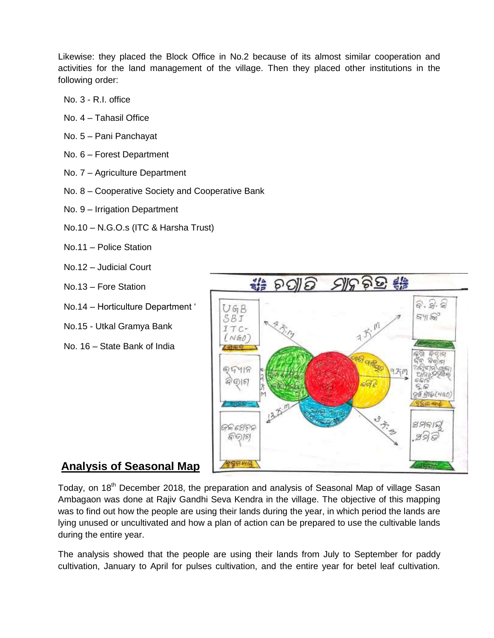Likewise: they placed the Block Office in No.2 because of its almost similar cooperation and activities for the land management of the village. Then they placed other institutions in the following order:

- No. 3 R.I. office
- No. 4 Tahasil Office
- No. 5 Pani Panchayat
- No. 6 Forest Department
- No. 7 Agriculture Department
- No. 8 Cooperative Society and Cooperative Bank
- No. 9 Irrigation Department
- No.10 N.G.O.s (ITC & Harsha Trust)
- No.11 Police Station
- No.12 Judicial Court
- No.13 Fore Station
- No.14 Horticulture Department '
- No.15 Utkal Gramya Bank
- No. 16 State Bank of India



### **Analysis of Seasonal Map**

Today, on 18<sup>th</sup> December 2018, the preparation and analysis of Seasonal Map of village Sasan Ambagaon was done at Rajiv Gandhi Seva Kendra in the village. The objective of this mapping was to find out how the people are using their lands during the year, in which period the lands are lying unused or uncultivated and how a plan of action can be prepared to use the cultivable lands during the entire year.

The analysis showed that the people are using their lands from July to September for paddy cultivation, January to April for pulses cultivation, and the entire year for betel leaf cultivation.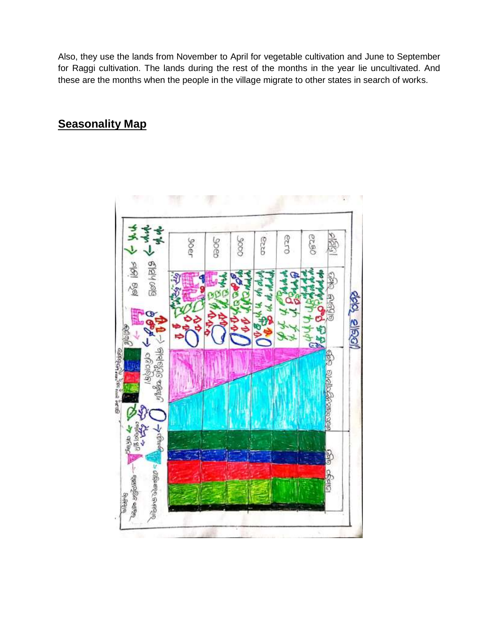Also, they use the lands from November to April for vegetable cultivation and June to September for Raggi cultivation. The lands during the rest of the months in the year lie uncultivated. And these are the months when the people in the village migrate to other states in search of works.

#### **Seasonality Map**

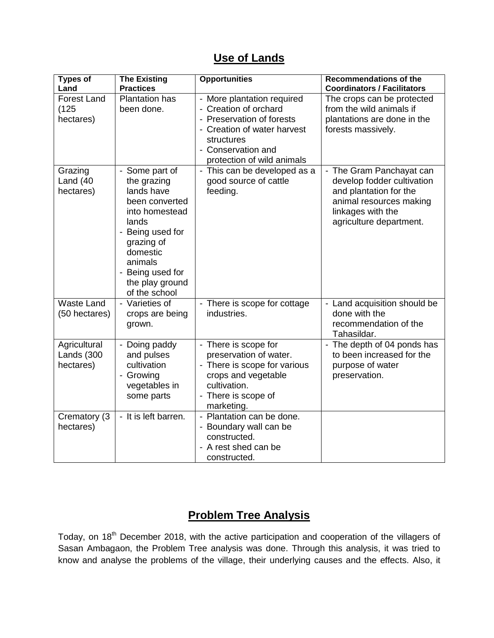#### **Use of Lands**

| <b>Types of</b><br>Land                  | <b>The Existing</b><br><b>Practices</b>                                                                                                                                                                   | <b>Opportunities</b>                                                                                                                                                              | <b>Recommendations of the</b><br><b>Coordinators / Facilitators</b>                                                                                         |
|------------------------------------------|-----------------------------------------------------------------------------------------------------------------------------------------------------------------------------------------------------------|-----------------------------------------------------------------------------------------------------------------------------------------------------------------------------------|-------------------------------------------------------------------------------------------------------------------------------------------------------------|
| <b>Forest Land</b><br>(125)<br>hectares) | <b>Plantation has</b><br>been done.                                                                                                                                                                       | - More plantation required<br>- Creation of orchard<br>- Preservation of forests<br>- Creation of water harvest<br>structures<br>- Conservation and<br>protection of wild animals | The crops can be protected<br>from the wild animals if<br>plantations are done in the<br>forests massively.                                                 |
| Grazing<br>Land $(40)$<br>hectares)      | - Some part of<br>the grazing<br>lands have<br>been converted<br>into homestead<br>lands<br>- Being used for<br>grazing of<br>domestic<br>animals<br>- Being used for<br>the play ground<br>of the school | - This can be developed as a<br>good source of cattle<br>feeding.                                                                                                                 | - The Gram Panchayat can<br>develop fodder cultivation<br>and plantation for the<br>animal resources making<br>linkages with the<br>agriculture department. |
| <b>Waste Land</b><br>(50 hectares)       | - Varieties of<br>crops are being<br>grown.                                                                                                                                                               | - There is scope for cottage<br>industries.                                                                                                                                       | - Land acquisition should be<br>done with the<br>recommendation of the<br>Tahasildar.                                                                       |
| Agricultural<br>Lands (300<br>hectares)  | - Doing paddy<br>and pulses<br>cultivation<br>- Growing<br>vegetables in<br>some parts                                                                                                                    | - There is scope for<br>preservation of water.<br>- There is scope for various<br>crops and vegetable<br>cultivation.<br>- There is scope of<br>marketing.                        | - The depth of 04 ponds has<br>to been increased for the<br>purpose of water<br>preservation.                                                               |
| Crematory (3<br>hectares)                | - It is left barren.                                                                                                                                                                                      | - Plantation can be done.<br>- Boundary wall can be<br>constructed.<br>- A rest shed can be<br>constructed.                                                                       |                                                                                                                                                             |

### **Problem Tree Analysis**

Today, on 18<sup>th</sup> December 2018, with the active participation and cooperation of the villagers of Sasan Ambagaon, the Problem Tree analysis was done. Through this analysis, it was tried to know and analyse the problems of the village, their underlying causes and the effects. Also, it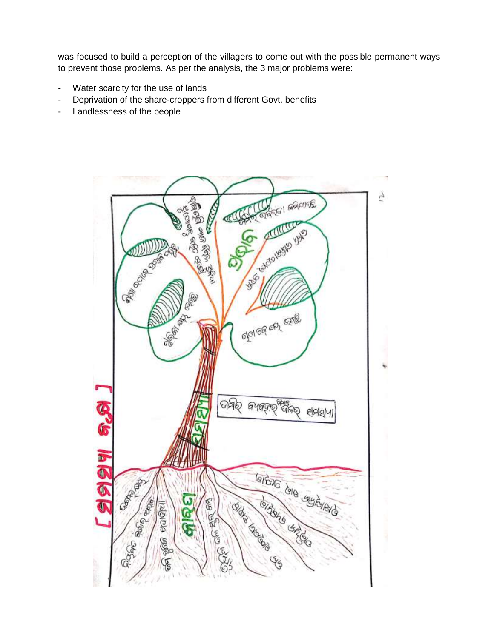was focused to build a perception of the villagers to come out with the possible permanent ways to prevent those problems. As per the analysis, the 3 major problems were:

- Water scarcity for the use of lands
- Deprivation of the share-croppers from different Govt. benefits
- Landlessness of the people

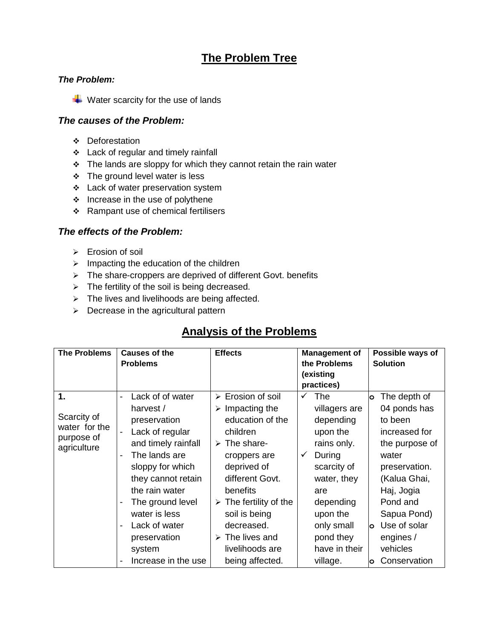### **The Problem Tree**

#### *The Problem:*

 $\overline{\phantom{a}}$  Water scarcity for the use of lands

#### *The causes of the Problem:*

- **\*** Deforestation
- **\*** Lack of regular and timely rainfall
- $\cdot \cdot$  The lands are sloppy for which they cannot retain the rain water
- **↑ The ground level water is less**
- **Lack of water preservation system**
- $\div$  Increase in the use of polythene
- $\div$  Rampant use of chemical fertilisers

#### *The effects of the Problem:*

- > Erosion of soil
- $\triangleright$  Impacting the education of the children
- $\triangleright$  The share-croppers are deprived of different Govt. benefits
- $\triangleright$  The fertility of the soil is being decreased.
- $\triangleright$  The lives and livelihoods are being affected.
- $\triangleright$  Decrease in the agricultural pattern

### **Analysis of the Problems**

| <b>The Problems</b>                                                        | Causes of the<br><b>Problems</b>                                                                                                                                                                                                                                            | <b>Effects</b>                                                                                                                                                                                                                                                                                                                           | <b>Management of</b><br>the Problems                                                                                                                                                                   | Possible ways of<br><b>Solution</b>                                                                                                                                                                                                     |
|----------------------------------------------------------------------------|-----------------------------------------------------------------------------------------------------------------------------------------------------------------------------------------------------------------------------------------------------------------------------|------------------------------------------------------------------------------------------------------------------------------------------------------------------------------------------------------------------------------------------------------------------------------------------------------------------------------------------|--------------------------------------------------------------------------------------------------------------------------------------------------------------------------------------------------------|-----------------------------------------------------------------------------------------------------------------------------------------------------------------------------------------------------------------------------------------|
|                                                                            |                                                                                                                                                                                                                                                                             |                                                                                                                                                                                                                                                                                                                                          | (existing<br>practices)                                                                                                                                                                                |                                                                                                                                                                                                                                         |
| $\mathbf 1$ .<br>Scarcity of<br>water for the<br>purpose of<br>agriculture | Lack of of water<br>harvest /<br>preservation<br>Lack of regular<br>and timely rainfall<br>The lands are<br>sloppy for which<br>they cannot retain<br>the rain water<br>The ground level<br>water is less<br>Lack of water<br>preservation<br>system<br>Increase in the use | > Erosion of soil<br>Impacting the<br>$\blacktriangleright$<br>education of the<br>children<br>$\triangleright$ The share-<br>croppers are<br>deprived of<br>different Govt.<br>benefits<br>$\triangleright$ The fertility of the<br>soil is being<br>decreased.<br>$\triangleright$ The lives and<br>livelihoods are<br>being affected. | The<br>✓<br>villagers are<br>depending<br>upon the<br>rains only.<br>During<br>✓<br>scarcity of<br>water, they<br>are<br>depending<br>upon the<br>only small<br>pond they<br>have in their<br>village. | The depth of<br>O<br>04 ponds has<br>to been<br>increased for<br>the purpose of<br>water<br>preservation.<br>(Kalua Ghai,<br>Haj, Jogia<br>Pond and<br>Sapua Pond)<br>Use of solar<br>lo.<br>engines /<br>vehicles<br>Conservation<br>O |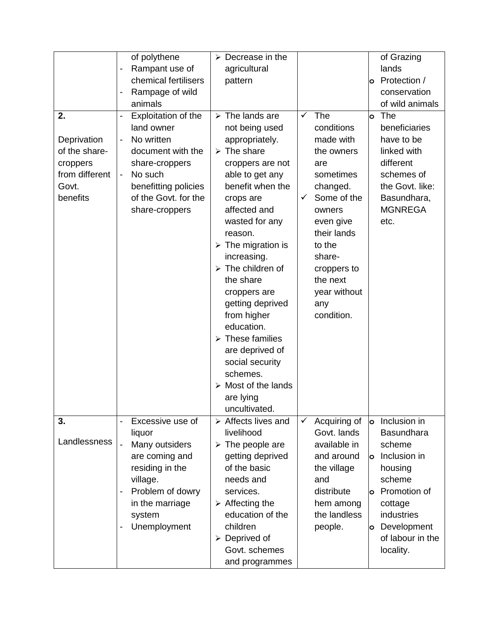| 2.<br>Deprivation<br>of the share-<br>croppers<br>from different<br>Govt.<br>benefits | of polythene<br>Rampant use of<br>chemical fertilisers<br>Rampage of wild<br>animals<br>Exploitation of the<br>$\overline{\phantom{0}}$<br>land owner<br>No written<br>$\overline{\phantom{0}}$<br>document with the<br>share-croppers<br>No such<br>$\overline{\phantom{0}}$<br>benefitting policies<br>of the Govt. for the<br>share-croppers | $\triangleright$ Decrease in the<br>agricultural<br>pattern<br>$\triangleright$ The lands are<br>not being used<br>appropriately.<br>$\triangleright$ The share<br>croppers are not<br>able to get any<br>benefit when the<br>crops are<br>affected and<br>wasted for any<br>reason.<br>$\triangleright$ The migration is<br>increasing.<br>$\triangleright$ The children of<br>the share<br>croppers are<br>getting deprived<br>from higher<br>education.<br>$\triangleright$ These families<br>are deprived of<br>social security<br>schemes.<br>$\triangleright$ Most of the lands<br>are lying | $\checkmark$<br>The<br>conditions<br>made with<br>the owners<br>are<br>sometimes<br>changed.<br>Some of the<br>✓<br>owners<br>even give<br>their lands<br>to the<br>share-<br>croppers to<br>the next<br>year without<br>any<br>condition. | of Grazing<br>lands<br>Protection /<br>O<br>conservation<br>of wild animals<br>The<br>lo.<br>beneficiaries<br>have to be<br>linked with<br>different<br>schemes of<br>the Govt. like:<br>Basundhara,<br><b>MGNREGA</b><br>etc. |
|---------------------------------------------------------------------------------------|-------------------------------------------------------------------------------------------------------------------------------------------------------------------------------------------------------------------------------------------------------------------------------------------------------------------------------------------------|----------------------------------------------------------------------------------------------------------------------------------------------------------------------------------------------------------------------------------------------------------------------------------------------------------------------------------------------------------------------------------------------------------------------------------------------------------------------------------------------------------------------------------------------------------------------------------------------------|--------------------------------------------------------------------------------------------------------------------------------------------------------------------------------------------------------------------------------------------|--------------------------------------------------------------------------------------------------------------------------------------------------------------------------------------------------------------------------------|
|                                                                                       |                                                                                                                                                                                                                                                                                                                                                 | uncultivated.                                                                                                                                                                                                                                                                                                                                                                                                                                                                                                                                                                                      |                                                                                                                                                                                                                                            |                                                                                                                                                                                                                                |
| 3.<br>Landlessness                                                                    | Excessive use of<br>liquor<br>$\overline{a}$<br>Many outsiders<br>are coming and<br>residing in the<br>village.<br>Problem of dowry<br>-<br>in the marriage<br>system<br>Unemployment                                                                                                                                                           | $\triangleright$ Affects lives and<br>livelihood<br>$\triangleright$ The people are<br>getting deprived<br>of the basic<br>needs and<br>services.<br>$\triangleright$ Affecting the<br>education of the<br>children<br>$\triangleright$ Deprived of<br>Govt. schemes<br>and programmes                                                                                                                                                                                                                                                                                                             | Acquiring of<br>✓<br>Govt. lands<br>available in<br>and around<br>the village<br>and<br>distribute<br>hem among<br>the landless<br>people.                                                                                                 | Inclusion in<br>$\circ$<br><b>Basundhara</b><br>scheme<br>Inclusion in<br><b>lo</b><br>housing<br>scheme<br>Promotion of<br>o<br>cottage<br>industries<br>Development<br>o<br>of labour in the<br>locality.                    |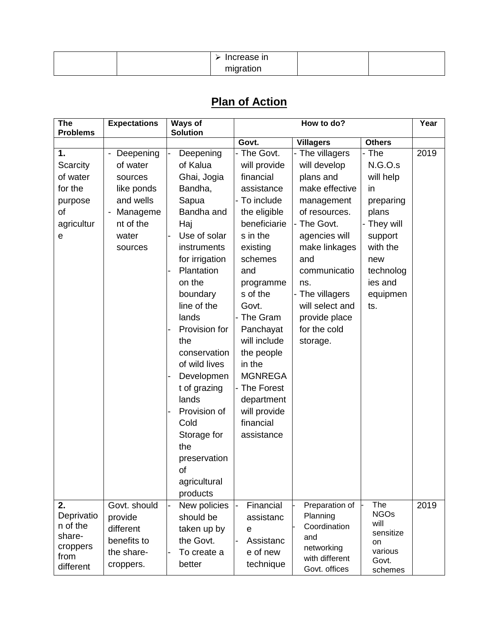|  | Increase in |  |
|--|-------------|--|
|  | migration   |  |

# **Plan of Action**

| <b>The</b><br><b>Problems</b>                                             | <b>Expectations</b>                                                                                                                    | Ways of<br><b>Solution</b>                                                                                                                                                                                                                                                                                                                                                                                   |                                                                                                                                                                                                                                                                                                                                                | How to do?                                                                                                                                                                                                                                                      |                                                                                                                                                   | Year |
|---------------------------------------------------------------------------|----------------------------------------------------------------------------------------------------------------------------------------|--------------------------------------------------------------------------------------------------------------------------------------------------------------------------------------------------------------------------------------------------------------------------------------------------------------------------------------------------------------------------------------------------------------|------------------------------------------------------------------------------------------------------------------------------------------------------------------------------------------------------------------------------------------------------------------------------------------------------------------------------------------------|-----------------------------------------------------------------------------------------------------------------------------------------------------------------------------------------------------------------------------------------------------------------|---------------------------------------------------------------------------------------------------------------------------------------------------|------|
|                                                                           |                                                                                                                                        |                                                                                                                                                                                                                                                                                                                                                                                                              | Govt.                                                                                                                                                                                                                                                                                                                                          | <b>Villagers</b>                                                                                                                                                                                                                                                | <b>Others</b>                                                                                                                                     |      |
| 1.<br>Scarcity<br>of water<br>for the<br>purpose<br>of<br>agricultur<br>е | - Deepening<br>of water<br>sources<br>like ponds<br>and wells<br>Manageme<br>$\overline{\phantom{0}}$<br>nt of the<br>water<br>sources | Deepening<br>$\blacksquare$<br>of Kalua<br>Ghai, Jogia<br>Bandha,<br>Sapua<br>Bandha and<br>Haj<br>Use of solar<br>instruments<br>for irrigation<br>Plantation<br>on the<br>boundary<br>line of the<br>lands<br>Provision for<br>the<br>conservation<br>of wild lives<br>Developmen<br>t of grazing<br>lands<br>Provision of<br>Cold<br>Storage for<br>the<br>preservation<br>of<br>agricultural<br>products | - The Govt.<br>will provide<br>financial<br>assistance<br>To include<br>the eligible<br>beneficiarie<br>s in the<br>existing<br>schemes<br>and<br>programme<br>s of the<br>Govt.<br>- The Gram<br>Panchayat<br>will include<br>the people<br>in the<br><b>MGNREGA</b><br>- The Forest<br>department<br>will provide<br>financial<br>assistance | - The villagers<br>will develop<br>plans and<br>make effective<br>management<br>of resources.<br>- The Govt.<br>agencies will<br>make linkages<br>and<br>communicatio<br>ns.<br>- The villagers<br>will select and<br>provide place<br>for the cold<br>storage. | - The<br>N.G.O.s<br>will help<br>in<br>preparing<br>plans<br>- They will<br>support<br>with the<br>new<br>technolog<br>ies and<br>equipmen<br>ts. | 2019 |
| 2.<br>Deprivatio<br>n of the<br>share-<br>croppers<br>from<br>different   | Govt. should<br>provide<br>different<br>benefits to<br>the share-<br>croppers.                                                         | New policies<br>$\overline{a}$<br>should be<br>taken up by<br>the Govt.<br>To create a<br>better                                                                                                                                                                                                                                                                                                             | Financial<br>assistanc<br>e<br>Assistanc<br>$\overline{\phantom{0}}$<br>e of new<br>technique                                                                                                                                                                                                                                                  | Preparation of<br>Planning<br>Coordination<br>and<br>networking<br>with different<br>Govt. offices                                                                                                                                                              | The<br><b>NGOs</b><br>will<br>sensitize<br>on<br>various<br>Govt.<br>schemes                                                                      | 2019 |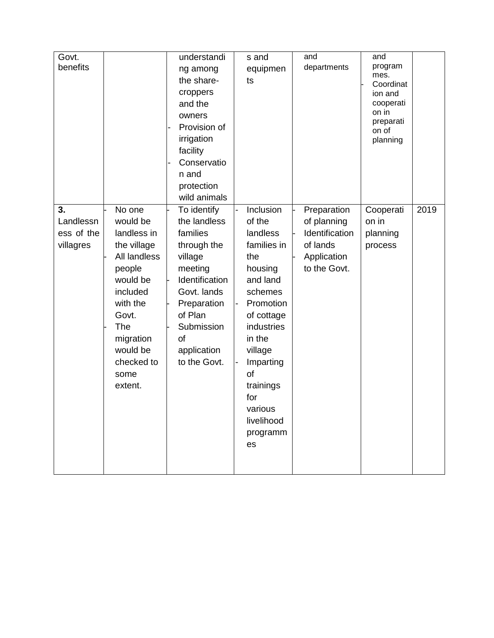| Govt.                     | understandi    | s and       | and            | and                |      |
|---------------------------|----------------|-------------|----------------|--------------------|------|
| benefits                  | ng among       | equipmen    | departments    | program            |      |
|                           | the share-     | ts          |                | mes.<br>Coordinat  |      |
|                           | croppers       |             |                | ion and            |      |
|                           | and the        |             |                | cooperati          |      |
|                           | owners         |             |                | on in              |      |
|                           | Provision of   |             |                | preparati<br>on of |      |
|                           | irrigation     |             |                | planning           |      |
|                           | facility       |             |                |                    |      |
|                           | Conservatio    |             |                |                    |      |
|                           | n and          |             |                |                    |      |
|                           | protection     |             |                |                    |      |
|                           | wild animals   |             |                |                    |      |
| 3.<br>No one              | To identify    | Inclusion   | Preparation    | Cooperati          | 2019 |
| would be<br>Landlessn     | the landless   | of the      | of planning    | on in              |      |
| ess of the<br>landless in | families       | landless    | Identification | planning           |      |
| villagres<br>the village  | through the    | families in | of lands       | process            |      |
| All landless              | village        | the         | Application    |                    |      |
| people                    | meeting        | housing     | to the Govt.   |                    |      |
| would be                  | Identification | and land    |                |                    |      |
| included                  | Govt. lands    | schemes     |                |                    |      |
| with the                  | Preparation    | Promotion   |                |                    |      |
| Govt.                     | of Plan        | of cottage  |                |                    |      |
| The                       | Submission     | industries  |                |                    |      |
| migration                 | of             | in the      |                |                    |      |
| would be                  | application    | village     |                |                    |      |
| checked to                | to the Govt.   | Imparting   |                |                    |      |
| some                      |                | of          |                |                    |      |
| extent.                   |                | trainings   |                |                    |      |
|                           |                | for         |                |                    |      |
|                           |                | various     |                |                    |      |
|                           |                | livelihood  |                |                    |      |
|                           |                | programm    |                |                    |      |
|                           |                | es          |                |                    |      |
|                           |                |             |                |                    |      |
|                           |                |             |                |                    |      |